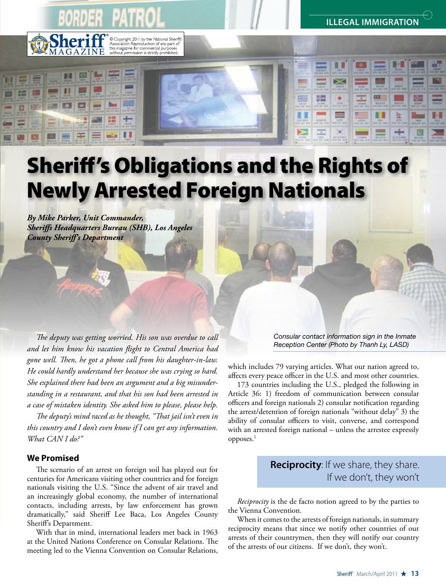<sup>9</sup> Copyright 2011 by the National Sheriffs<br>
<sup>9</sup> Association. Reproduction of any part of<br>
this magazine for commercial purposes<br>
without permission is strictly prohibited.

**ILLEGAL IMMIGRATIO** 

Ш

ь

# Sheriff's Obligations and the Rights of Newly Arrested Foreign Nationals

*By Mike Parker, Unit Commander, Sheriffs Headquarters Bureau (SHB), Los Angeles County Sheriff's Department*

*The deputy was getting worried. His son was overdue to call and let him know his vacation flight to Central America had gone well. Then, he got a phone call from his daughter-in-law. He could hardly understand her because she was crying so hard. She explained there had been an argument and a big misunderstanding in a restaurant, and that his son had been arrested in a case of mistaken identity. She asked him to please, please help.* 

*The deputy's mind raced as he thought, "That jail isn't even in this country and I don't even know if I can get any information. What CAN I do?"*

## **We Promised**

The scenario of an arrest on foreign soil has played out for centuries for Americans visiting other countries and for foreign nationals visiting the U.S. "Since the advent of air travel and an increasingly global economy, the number of international contacts, including arrests, by law enforcement has grown dramatically," said Sheriff Lee Baca, Los Angeles County Sheriff's Department.

With that in mind, international leaders met back in 1963 at the United Nations Conference on Consular Relations. The meeting led to the Vienna Convention on Consular Relations, *Consular contact information sign in the Inmate Reception Center (Photo by Thanh Ly, LASD)* 

which includes 79 varying articles. What our nation agreed to, affects every peace officer in the U.S. and most other countries.

匡

173 countries including the U.S., pledged the following in Article 36: 1) freedom of communication between consular officers and foreign nationals 2) consular notification regarding the arrest/detention of foreign nationals "without delay" 3) the ability of consular officers to visit, converse, and correspond with an arrested foreign national – unless the arrestee expressly opposes.1

# **Reciprocity**: If we share, they share. If we don't, they won't

*Reciprocity* is the de facto notion agreed to by the parties to the Vienna Convention.

When it comes to the arrests of foreign nationals, in summary reciprocity means that since we notify other countries of our arrests of their countrymen, then they will notify our country of the arrests of our citizens. If we don't, they won't.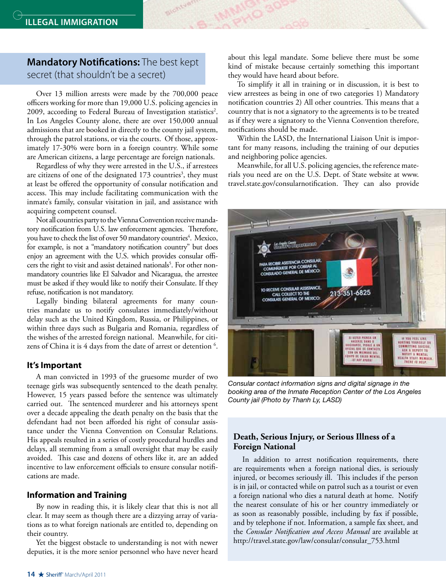# **Mandatory Notifications:** The best kept secret (that shouldn't be a secret)

Over 13 million arrests were made by the 700,000 peace officers working for more than 19,000 U.S. policing agencies in 2009, according to Federal Bureau of Investigation statistics<sup>2</sup>. In Los Angeles County alone, there are over 150,000 annual admissions that are booked in directly to the county jail system, through the patrol stations, or via the courts. Of those, approximately 17-30% were born in a foreign country. While some are American citizens, a large percentage are foreign nationals.

Regardless of why they were arrested in the U.S., if arrestees are citizens of one of the designated  $173$  countries<sup>3</sup>, they must at least be offered the opportunity of consular notification and access. This may include facilitating communication with the inmate's family, consular visitation in jail, and assistance with acquiring competent counsel.

Not all countries party to the Vienna Convention receive mandatory notification from U.S. law enforcement agencies. Therefore, you have to check the list of over 50 mandatory countries<sup>4</sup>. Mexico, for example, is not a "mandatory notification country" but does enjoy an agreement with the U.S. which provides consular officers the right to visit and assist detained nationals<sup>5</sup>. For other nonmandatory countries like El Salvador and Nicaragua, the arrestee must be asked if they would like to notify their Consulate. If they refuse, notification is not mandatory.

Legally binding bilateral agreements for many countries mandate us to notify consulates immediately/without delay such as the United Kingdom, Russia, or Philippines, or within three days such as Bulgaria and Romania, regardless of the wishes of the arrested foreign national. Meanwhile, for citizens of China it is 4 days from the date of arrest or detention <sup>6</sup>.

#### **It's Important**

A man convicted in 1993 of the gruesome murder of two teenage girls was subsequently sentenced to the death penalty. However, 15 years passed before the sentence was ultimately carried out. The sentenced murderer and his attorneys spent over a decade appealing the death penalty on the basis that the defendant had not been afforded his right of consular assistance under the Vienna Convention on Consular Relations. His appeals resulted in a series of costly procedural hurdles and delays, all stemming from a small oversight that may be easily avoided. This case and dozens of others like it, are an added incentive to law enforcement officials to ensure consular notifications are made.

#### **Information and Training**

By now in reading this, it is likely clear that this is not all clear. It may seem as though there are a dizzying array of variations as to what foreign nationals are entitled to, depending on their country.

Yet the biggest obstacle to understanding is not with newer deputies, it is the more senior personnel who have never heard about this legal mandate. Some believe there must be some kind of mistake because certainly something this important they would have heard about before.

To simplify it all in training or in discussion, it is best to view arrestees as being in one of two categories 1) Mandatory notification countries 2) All other countries. This means that a country that is not a signatory to the agreements is to be treated as if they were a signatory to the Vienna Convention therefore, notifications should be made.

Within the LASD, the International Liaison Unit is important for many reasons, including the training of our deputies and neighboring police agencies.

Meanwhile, for all U.S. policing agencies, the reference materials you need are on the U.S. Dept. of State website at www. travel.state.gov/consularnotification. They can also provide



*Consular contact information signs and digital signage in the booking area of the Inmate Reception Center of the Los Angeles County jail (Photo by Thanh Ly, LASD)*

#### **Death, Serious Injury, or Serious Illness of a Foreign National**

In addition to arrest notification requirements, there are requirements when a foreign national dies, is seriously injured, or becomes seriously ill. This includes if the person is in jail, or contacted while on patrol such as a tourist or even a foreign national who dies a natural death at home. Notify the nearest consulate of his or her country immediately or as soon as reasonably possible, including by fax if possible, and by telephone if not. Information, a sample fax sheet, and the *Consular Notification and Access Manual* are available at http://travel.state.gov/law/consular/consular\_753.html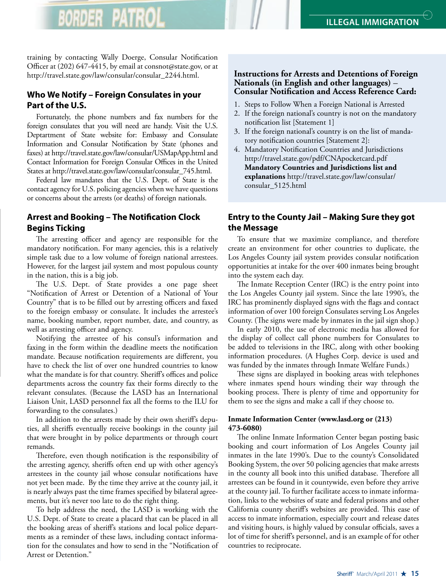training by contacting Wally Doerge, Consular Notification Officer at (202) 647-4415, by email at consnot@state.gov, or at http://travel.state.gov/law/consular/consular\_2244.html.

# **Who We Notify – Foreign Consulates in your Part of the U.S.**

Fortunately, the phone numbers and fax numbers for the foreign consulates that you will need are handy. Visit the U.S. Deptartment of State website for: Embassy and Consulate Information and Consular Notification by State (phones and faxes) at http://travel.state.gov/law/consular/USMapApp.html and Contact Information for Foreign Consular Offices in the United States at http://travel.state.gov/law/consular/consular\_745.html.

Federal law mandates that the U.S. Dept. of State is the contact agency for U.S. policing agencies when we have questions or concerns about the arrests (or deaths) of foreign nationals.

# **Arrest and Booking – The Notification Clock Begins Ticking**

The arresting officer and agency are responsible for the mandatory notification. For many agencies, this is a relatively simple task due to a low volume of foreign national arrestees. However, for the largest jail system and most populous county in the nation, this is a big job.

The U.S. Dept. of State provides a one page sheet "Notification of Arrest or Detention of a National of Your Country" that is to be filled out by arresting officers and faxed to the foreign embassy or consulate. It includes the arrestee's name, booking number, report number, date, and country, as well as arresting officer and agency.

Notifying the arrestee of his consul's information and faxing in the form within the deadline meets the notification mandate. Because notification requirements are different, you have to check the list of over one hundred countries to know what the mandate is for that country. Sheriff's offices and police departments across the country fax their forms directly to the relevant consulates. (Because the LASD has an International Liaison Unit, LASD personnel fax all the forms to the ILU for forwarding to the consulates.)

In addition to the arrests made by their own sheriff's deputies, all sheriffs eventually receive bookings in the county jail that were brought in by police departments or through court remands.

Therefore, even though notification is the responsibility of the arresting agency, sheriffs often end up with other agency's arrestees in the county jail whose consular notifications have not yet been made. By the time they arrive at the county jail, it is nearly always past the time frames specified by bilateral agreements, but it's never too late to do the right thing.

To help address the need, the LASD is working with the U.S. Dept. of State to create a placard that can be placed in all the booking areas of sheriff's stations and local police departments as a reminder of these laws, including contact information for the consulates and how to send in the "Notification of Arrest or Detention."

### **Instructions for Arrests and Detentions of Foreign Nationals (in English and other languages)** – **Consular Notification and Access Reference Card:**

- 1. Steps to Follow When a Foreign National is Arrested
- 2. If the foreign national's country is not on the mandatory notification list [Statement 1]
- 3. If the foreign national's country is on the list of mandatory notification countries [Statement 2]:
- 4. Mandatory Notification Countries and Jurisdictions http://travel.state.gov/pdf/CNApocketcard.pdf **Mandatory Countries and Jurisdictions list and explanations** http://travel.state.gov/law/consular/ consular\_5125.html

# **Entry to the County Jail – Making Sure they got the Message**

To ensure that we maximize compliance, and therefore create an environment for other countries to duplicate, the Los Angeles County jail system provides consular notification opportunities at intake for the over 400 inmates being brought into the system each day.

The Inmate Reception Center (IRC) is the entry point into the Los Angeles County jail system. Since the late 1990's, the IRC has prominently displayed signs with the flags and contact information of over 100 foreign Consulates serving Los Angeles County. (The signs were made by inmates in the jail sign shop.)

In early 2010, the use of electronic media has allowed for the display of collect call phone numbers for Consulates to be added to televisions in the IRC, along with other booking information procedures. (A Hughes Corp. device is used and was funded by the inmates through Inmate Welfare Funds.)

These signs are displayed in booking areas with telephones where inmates spend hours winding their way through the booking process. There is plenty of time and opportunity for them to see the signs and make a call if they choose to.

#### **Inmate Information Center (www.lasd.org or (213) 473-6080)**

The online Inmate Information Center began posting basic booking and court information of Los Angeles County jail inmates in the late 1990's. Due to the county's Consolidated Booking System, the over 50 policing agencies that make arrests in the county all book into this unified database. Therefore all arrestees can be found in it countywide, even before they arrive at the county jail. To further facilitate access to inmate information, links to the websites of state and federal prisons and other California county sheriff's websites are provided. This ease of access to inmate information, especially court and release dates and visiting hours, is highly valued by consular officials, saves a lot of time for sheriff's personnel, and is an example of for other countries to reciprocate.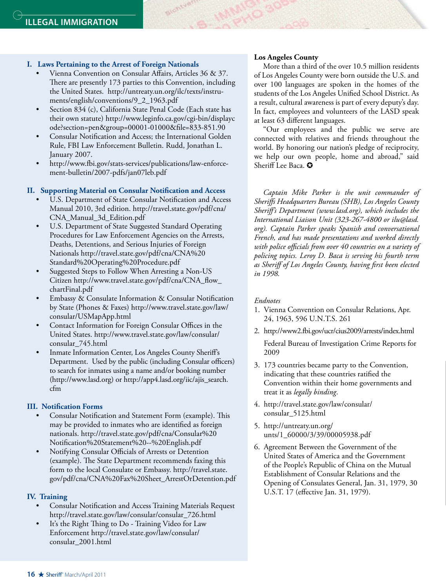#### **I. Laws Pertaining to the Arrest of Foreign Nationals**

Vienna Convention on Consular Affairs, Articles 36 & 37. There are presently 173 parties to this Convention, including the United States. http://untreaty.un.org/ilc/texts/instruments/english/conventions/9\_2\_1963.pdf

Slohtvar

- Section 834 (c), California State Penal Code (Each state has their own statute) http://www.leginfo.ca.gov/cgi-bin/displayc ode?section=pen&group=00001-01000&file=833-851.90
- Consular Notification and Access; the International Golden Rule, FBI Law Enforcement Bulletin. Rudd, Jonathan L. January 2007.
- http://www.fbi.gov/stats-services/publications/law-enforcement-bulletin/2007-pdfs/jan07leb.pdf

#### **II. Supporting Material on Consular Notification and Access**

- U.S. Department of State Consular Notification and Access Manual 2010, 3rd edition. http://travel.state.gov/pdf/cna/ CNA\_Manual\_3d\_Edition.pdf
- U.S. Department of State Suggested Standard Operating Procedures for Law Enforcement Agencies on the Arrests, Deaths, Detentions, and Serious Injuries of Foreign Nationals http://travel.state.gov/pdf/cna/CNA%20 Standard%20Operating%20Procedure.pdf
- Suggested Steps to Follow When Arresting a Non-US Citizen http://www.travel.state.gov/pdf/cna/CNA\_flow\_ chartFinal.pdf
- Embassy & Consulate Information & Consular Notification by State (Phones & Faxes) http://www.travel.state.gov/law/ consular/USMapApp.html
- Contact Information for Foreign Consular Offices in the United States. http://www.travel.state.gov/law/consular/ consular\_745.html
- Inmate Information Center, Los Angeles County Sheriff's Department. Used by the public (including Consular officers) to search for inmates using a name and/or booking number (http://www.lasd.org) or http://app4.lasd.org/iic/ajis\_search. cfm

### **III. Notification Forms**

- Consular Notification and Statement Form (example). This may be provided to inmates who are identified as foreign nationals. http://travel.state.gov/pdf/cna/Consular%20 Notification%20Statement%20--%20English.pdf
- Notifying Consular Officials of Arrests or Detention (example). The State Department recommends faxing this form to the local Consulate or Embassy. http://travel.state. gov/pdf/cna/CNA%20Fax%20Sheet\_ArrestOrDetention.pdf

#### **IV. Training**

- Consular Notification and Access Training Materials Request http://travel.state.gov/law/consular/consular\_726.html
- It's the Right Thing to Do Training Video for Law Enforcement http://travel.state.gov/law/consular/ consular\_2001.html

#### **Los Angeles County**

More than a third of the over 10.5 million residents of Los Angeles County were born outside the U.S. and over 100 languages are spoken in the homes of the students of the Los Angeles Unified School District. As a result, cultural awareness is part of every deputy's day. In fact, employees and volunteers of the LASD speak at least 63 different languages.

"Our employees and the public we serve are connected with relatives and friends throughout the world. By honoring our nation's pledge of reciprocity, we help our own people, home and abroad," said Sheriff Lee Baca.  $\bullet$ 

*Captain Mike Parker is the unit commander of Sheriffs Headquarters Bureau (SHB), Los Angeles County Sheriff's Department (www.lasd.org), which includes the International Liaison Unit (323-267-4800 or ilu@lasd. org). Captain Parker speaks Spanish and conversational French, and has made presentations and worked directly with police officials from over 40 countries on a variety of policing topics. Leroy D. Baca is serving his fourth term as Sheriff of Los Angeles County, having first been elected in 1998.*

#### *Endnotes*

- 1. Vienna Convention on Consular Relations, Apr. 24, 1963, 596 U.N.T.S. 261
- 2. http://www2.fbi.gov/ucr/cius2009/arrests/index.html Federal Bureau of Investigation Crime Reports for 2009
- 3. 173 countries became party to the Convention, indicating that these countries ratified the Convention within their home governments and treat it as *legally binding*.
- 4. http://travel.state.gov/law/consular/ consular\_5125.html
- 5. http://untreaty.un.org/ unts/1\_60000/3/39/00005938.pdf
- 6. Agreement Between the Government of the United States of America and the Government of the People's Republic of China on the Mutual Establishment of Consular Relations and the Opening of Consulates General, Jan. 31, 1979, 30 U.S.T. 17 (effective Jan. 31, 1979).